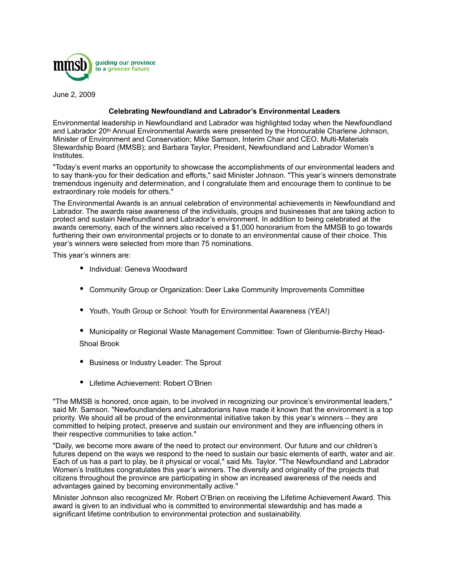

June 2, 2009

### **Celebrating Newfoundland and Labrador's Environmental Leaders**

Environmental leadership in Newfoundland and Labrador was highlighted today when the Newfoundland and Labrador 20th Annual Environmental Awards were presented by the Honourable Charlene Johnson, Minister of Environment and Conservation; Mike Samson, Interim Chair and CEO, Multi-Materials Stewardship Board (MMSB); and Barbara Taylor, President, Newfoundland and Labrador Women's Institutes.

"Today's event marks an opportunity to showcase the accomplishments of our environmental leaders and to say thank-you for their dedication and efforts," said Minister Johnson. "This year's winners demonstrate tremendous ingenuity and determination, and I congratulate them and encourage them to continue to be extraordinary role models for others."

The Environmental Awards is an annual celebration of environmental achievements in Newfoundland and Labrador. The awards raise awareness of the individuals, groups and businesses that are taking action to protect and sustain Newfoundland and Labrador's environment. In addition to being celebrated at the awards ceremony, each of the winners also received a \$1,000 honorarium from the MMSB to go towards furthering their own environmental projects or to donate to an environmental cause of their choice. This year's winners were selected from more than 75 nominations.

This year's winners are:

- Individual: Geneva Woodward
- Community Group or Organization: Deer Lake Community Improvements Committee
- Youth, Youth Group or School: Youth for Environmental Awareness (YEA!)
- Municipality or Regional Waste Management Committee: Town of Glenburnie-Birchy Head-Shoal Brook
- Business or Industry Leader: The Sprout
- Lifetime Achievement: Robert O'Brien

"The MMSB is honored, once again, to be involved in recognizing our province's environmental leaders," said Mr. Samson. "Newfoundlanders and Labradorians have made it known that the environment is a top priority. We should all be proud of the environmental initiative taken by this year's winners – they are committed to helping protect, preserve and sustain our environment and they are influencing others in their respective communities to take action."

"Daily, we become more aware of the need to protect our environment. Our future and our children's futures depend on the ways we respond to the need to sustain our basic elements of earth, water and air. Each of us has a part to play, be it physical or vocal," said Ms. Taylor. "The Newfoundland and Labrador Women's Institutes congratulates this year's winners. The diversity and originality of the projects that citizens throughout the province are participating in show an increased awareness of the needs and advantages gained by becoming environmentally active."

Minister Johnson also recognized Mr. Robert O'Brien on receiving the Lifetime Achievement Award. This award is given to an individual who is committed to environmental stewardship and has made a significant lifetime contribution to environmental protection and sustainability.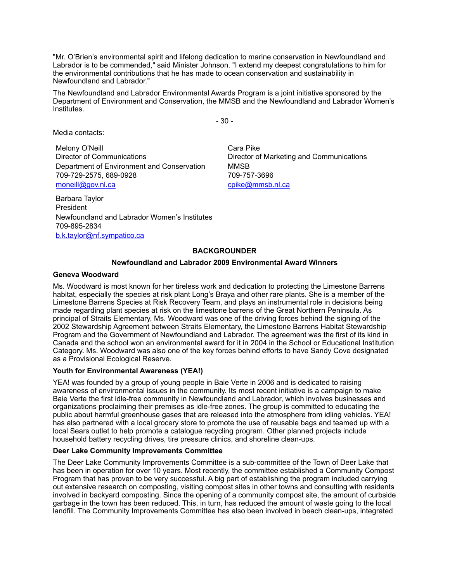"Mr. O'Brien's environmental spirit and lifelong dedication to marine conservation in Newfoundland and Labrador is to be commended," said Minister Johnson. "I extend my deepest congratulations to him for the environmental contributions that he has made to ocean conservation and sustainability in Newfoundland and Labrador."

The Newfoundland and Labrador Environmental Awards Program is a joint initiative sponsored by the Department of Environment and Conservation, the MMSB and the Newfoundland and Labrador Women's Institutes.

- 30 -

Media contacts:

Melony O'Neill Director of Communications Department of Environment and Conservation 709-729-2575, 689-0928 [moneill@gov.nl.ca](mailto:moneill@gov.nl.ca)

Cara Pike Director of Marketing and Communications MMSB 709-757-3696 [cpike@mmsb.nl.ca](mailto:cpike@mmsb.nl.ca)

Barbara Taylor President Newfoundland and Labrador Women's Institutes 709-895-2834 [b.k.taylor@nf.sympatico.ca](mailto:b.k.taylor@nf.sympatico.ca)

# **BACKGROUNDER**

### **Newfoundland and Labrador 2009 Environmental Award Winners**

### **Geneva Woodward**

Ms. Woodward is most known for her tireless work and dedication to protecting the Limestone Barrens habitat, especially the species at risk plant Long's Braya and other rare plants. She is a member of the Limestone Barrens Species at Risk Recovery Team, and plays an instrumental role in decisions being made regarding plant species at risk on the limestone barrens of the Great Northern Peninsula. As principal of Straits Elementary, Ms. Woodward was one of the driving forces behind the signing of the 2002 Stewardship Agreement between Straits Elementary, the Limestone Barrens Habitat Stewardship Program and the Government of Newfoundland and Labrador. The agreement was the first of its kind in Canada and the school won an environmental award for it in 2004 in the School or Educational Institution Category. Ms. Woodward was also one of the key forces behind efforts to have Sandy Cove designated as a Provisional Ecological Reserve.

### **Youth for Environmental Awareness (YEA!)**

YEA! was founded by a group of young people in Baie Verte in 2006 and is dedicated to raising awareness of environmental issues in the community. Its most recent initiative is a campaign to make Baie Verte the first idle-free community in Newfoundland and Labrador, which involves businesses and organizations proclaiming their premises as idle-free zones. The group is committed to educating the public about harmful greenhouse gases that are released into the atmosphere from idling vehicles. YEA! has also partnered with a local grocery store to promote the use of reusable bags and teamed up with a local Sears outlet to help promote a catalogue recycling program. Other planned projects include household battery recycling drives, tire pressure clinics, and shoreline clean-ups.

### **Deer Lake Community Improvements Committee**

The Deer Lake Community Improvements Committee is a sub-committee of the Town of Deer Lake that has been in operation for over 10 years. Most recently, the committee established a Community Compost Program that has proven to be very successful. A big part of establishing the program included carrying out extensive research on composting, visiting compost sites in other towns and consulting with residents involved in backyard composting. Since the opening of a community compost site, the amount of curbside garbage in the town has been reduced. This, in turn, has reduced the amount of waste going to the local landfill. The Community Improvements Committee has also been involved in beach clean-ups, integrated